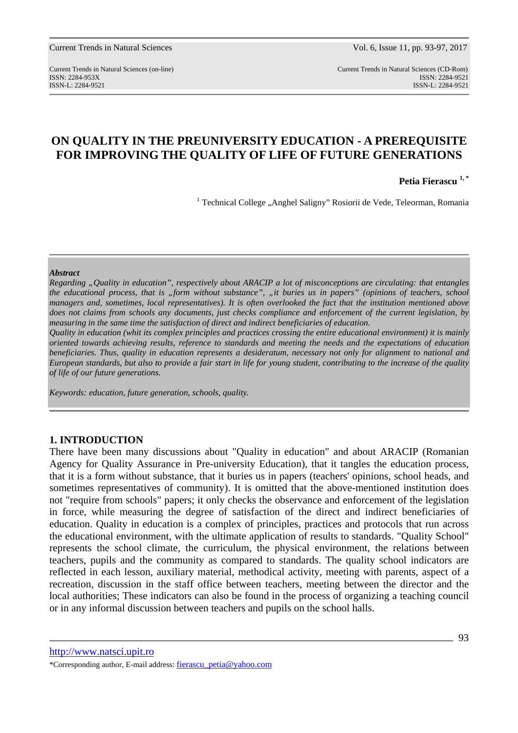Current Trends in Natural Sciences (on-line) Current Trends in Natural Sciences (CD-Rom) ISSN: 2284-953XISSN: 2284-9521 ISSN-L: 2284-9521 ISSN-L: 2284-9521

# **ON QUALITY IN THE PREUNIVERSITY EDUCATION - A PREREQUISITE FOR IMPROVING THE QUALITY OF LIFE OF FUTURE GENERATIONS**

**Petia Fierascu 1, \*** 

<sup>1</sup> Technical College "Anghel Saligny" Rosiorii de Vede, Teleorman, Romania

#### *Abstract*

*Regarding "Quality in education", respectively about ARACIP a lot of misconceptions are circulating: that entangles the educational process, that is "form without substance", "it buries us in papers" (opinions of teachers, school managers and, sometimes, local representatives). It is often overlooked the fact that the institution mentioned above does not claims from schools any documents, just checks compliance and enforcement of the current legislation, by measuring in the same time the satisfaction of direct and indirect beneficiaries of education.* 

*Quality in education (whit its complex principles and practices crossing the entire educational environment) it is mainly oriented towards achieving results, reference to standards and meeting the needs and the expectations of education beneficiaries. Thus, quality in education represents a desideratum, necessary not only for alignment to national and European standards, but also to provide a fair start in life for young student, contributing to the increase of the quality of life of our future generations.* 

*Keywords: education, future generation, schools, quality.* 

### **1. INTRODUCTION**

There have been many discussions about "Quality in education" and about ARACIP (Romanian Agency for Quality Assurance in Pre-university Education), that it tangles the education process, that it is a form without substance, that it buries us in papers (teachers' opinions, school heads, and sometimes representatives of community). It is omitted that the above-mentioned institution does not "require from schools" papers; it only checks the observance and enforcement of the legislation in force, while measuring the degree of satisfaction of the direct and indirect beneficiaries of education. Quality in education is a complex of principles, practices and protocols that run across the educational environment, with the ultimate application of results to standards. "Quality School" represents the school climate, the curriculum, the physical environment, the relations between teachers, pupils and the community as compared to standards. The quality school indicators are reflected in each lesson, auxiliary material, methodical activity, meeting with parents, aspect of a recreation, discussion in the staff office between teachers, meeting between the director and the local authorities; These indicators can also be found in the process of organizing a teaching council or in any informal discussion between teachers and pupils on the school halls.

http://www.natsci.upit.ro \*Corresponding author, E-mail address: fierascu\_petia@yahoo.com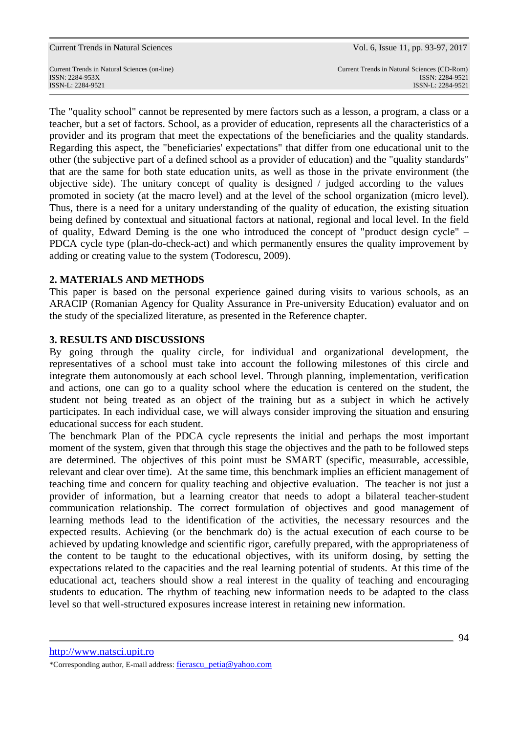ISSN-L: 2284-9521 ISSN-L: 2284-9521

Current Trends in Natural Sciences (on-line) Current Trends in Natural Sciences (CD-Rom) ISSN: 2284-953XISSN: 2284-9521

The "quality school" cannot be represented by mere factors such as a lesson, a program, a class or a teacher, but a set of factors. School, as a provider of education, represents all the characteristics of a provider and its program that meet the expectations of the beneficiaries and the quality standards. Regarding this aspect, the "beneficiaries' expectations" that differ from one educational unit to the other (the subjective part of a defined school as a provider of education) and the "quality standards" that are the same for both state education units, as well as those in the private environment (the objective side). The unitary concept of quality is designed / judged according to the values promoted in society (at the macro level) and at the level of the school organization (micro level). Thus, there is a need for a unitary understanding of the quality of education, the existing situation being defined by contextual and situational factors at national, regional and local level. In the field of quality, Edward Deming is the one who introduced the concept of "product design cycle" – PDCA cycle type (plan-do-check-act) and which permanently ensures the quality improvement by adding or creating value to the system (Todorescu, 2009).

# **2. MATERIALS AND METHODS**

This paper is based on the personal experience gained during visits to various schools, as an ARACIP (Romanian Agency for Quality Assurance in Pre-university Education) evaluator and on the study of the specialized literature, as presented in the Reference chapter.

# **3. RESULTS AND DISCUSSIONS**

By going through the quality circle, for individual and organizational development, the representatives of a school must take into account the following milestones of this circle and integrate them autonomously at each school level. Through planning, implementation, verification and actions, one can go to a quality school where the education is centered on the student, the student not being treated as an object of the training but as a subject in which he actively participates. In each individual case, we will always consider improving the situation and ensuring educational success for each student.

The benchmark Plan of the PDCA cycle represents the initial and perhaps the most important moment of the system, given that through this stage the objectives and the path to be followed steps are determined. The objectives of this point must be SMART (specific, measurable, accessible, relevant and clear over time). At the same time, this benchmark implies an efficient management of teaching time and concern for quality teaching and objective evaluation. The teacher is not just a provider of information, but a learning creator that needs to adopt a bilateral teacher-student communication relationship. The correct formulation of objectives and good management of learning methods lead to the identification of the activities, the necessary resources and the expected results. Achieving (or the benchmark do) is the actual execution of each course to be achieved by updating knowledge and scientific rigor, carefully prepared, with the appropriateness of the content to be taught to the educational objectives, with its uniform dosing, by setting the expectations related to the capacities and the real learning potential of students. At this time of the educational act, teachers should show a real interest in the quality of teaching and encouraging students to education. The rhythm of teaching new information needs to be adapted to the class level so that well-structured exposures increase interest in retaining new information.

http://www.natsci.upit.ro

\*Corresponding author, E-mail address: fierascu\_petia@yahoo.com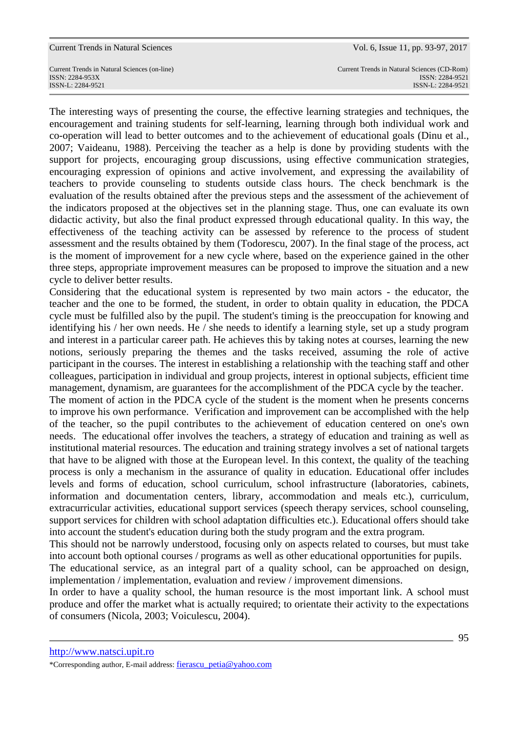Current Trends in Natural Sciences (on-line) Current Trends in Natural Sciences (CD-Rom) ISSN-L: 2284-9521 ISSN-L: 2284-9521

ISSN: 2284-953XISSN: 2284-9521

The interesting ways of presenting the course, the effective learning strategies and techniques, the encouragement and training students for self-learning, learning through both individual work and co-operation will lead to better outcomes and to the achievement of educational goals (Dinu et al., 2007; Vaideanu, 1988). Perceiving the teacher as a help is done by providing students with the support for projects, encouraging group discussions, using effective communication strategies, encouraging expression of opinions and active involvement, and expressing the availability of teachers to provide counseling to students outside class hours. The check benchmark is the evaluation of the results obtained after the previous steps and the assessment of the achievement of the indicators proposed at the objectives set in the planning stage. Thus, one can evaluate its own didactic activity, but also the final product expressed through educational quality. In this way, the effectiveness of the teaching activity can be assessed by reference to the process of student assessment and the results obtained by them (Todorescu, 2007). In the final stage of the process, act is the moment of improvement for a new cycle where, based on the experience gained in the other three steps, appropriate improvement measures can be proposed to improve the situation and a new cycle to deliver better results.

Considering that the educational system is represented by two main actors - the educator, the teacher and the one to be formed, the student, in order to obtain quality in education, the PDCA cycle must be fulfilled also by the pupil. The student's timing is the preoccupation for knowing and identifying his / her own needs. He / she needs to identify a learning style, set up a study program and interest in a particular career path. He achieves this by taking notes at courses, learning the new notions, seriously preparing the themes and the tasks received, assuming the role of active participant in the courses. The interest in establishing a relationship with the teaching staff and other colleagues, participation in individual and group projects, interest in optional subjects, efficient time management, dynamism, are guarantees for the accomplishment of the PDCA cycle by the teacher.

The moment of action in the PDCA cycle of the student is the moment when he presents concerns to improve his own performance. Verification and improvement can be accomplished with the help of the teacher, so the pupil contributes to the achievement of education centered on one's own needs. The educational offer involves the teachers, a strategy of education and training as well as institutional material resources. The education and training strategy involves a set of national targets that have to be aligned with those at the European level. In this context, the quality of the teaching process is only a mechanism in the assurance of quality in education. Educational offer includes levels and forms of education, school curriculum, school infrastructure (laboratories, cabinets, information and documentation centers, library, accommodation and meals etc.), curriculum, extracurricular activities, educational support services (speech therapy services, school counseling, support services for children with school adaptation difficulties etc.). Educational offers should take into account the student's education during both the study program and the extra program.

This should not be narrowly understood, focusing only on aspects related to courses, but must take into account both optional courses / programs as well as other educational opportunities for pupils.

The educational service, as an integral part of a quality school, can be approached on design, implementation / implementation, evaluation and review / improvement dimensions.

In order to have a quality school, the human resource is the most important link. A school must produce and offer the market what is actually required; to orientate their activity to the expectations of consumers (Nicola, 2003; Voiculescu, 2004).

http://www.natsci.upit.ro

\*Corresponding author, E-mail address: fierascu\_petia@yahoo.com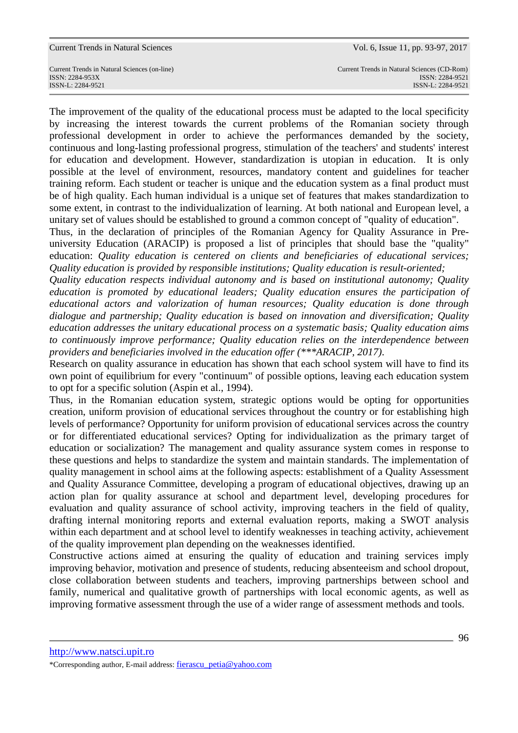Current Trends in Natural Sciences (on-line) Current Trends in Natural Sciences (CD-Rom) ISSN: 2284-953XISSN: 2284-9521 ISSN-L: 2284-9521 ISSN-L: 2284-9521

The improvement of the quality of the educational process must be adapted to the local specificity by increasing the interest towards the current problems of the Romanian society through professional development in order to achieve the performances demanded by the society, continuous and long-lasting professional progress, stimulation of the teachers' and students' interest for education and development. However, standardization is utopian in education. It is only possible at the level of environment, resources, mandatory content and guidelines for teacher training reform. Each student or teacher is unique and the education system as a final product must be of high quality. Each human individual is a unique set of features that makes standardization to some extent, in contrast to the individualization of learning. At both national and European level, a unitary set of values should be established to ground a common concept of "quality of education".

Thus, in the declaration of principles of the Romanian Agency for Quality Assurance in Preuniversity Education (ARACIP) is proposed a list of principles that should base the "quality" education: *Quality education is centered on clients and beneficiaries of educational services; Quality education is provided by responsible institutions; Quality education is result-oriented;*

*Quality education respects individual autonomy and is based on institutional autonomy; Quality education is promoted by educational leaders; Quality education ensures the participation of educational actors and valorization of human resources; Quality education is done through dialogue and partnership; Quality education is based on innovation and diversification; Quality education addresses the unitary educational process on a systematic basis; Quality education aims to continuously improve performance; Quality education relies on the interdependence between providers and beneficiaries involved in the education offer (\*\*\*ARACIP, 2017)*.

Research on quality assurance in education has shown that each school system will have to find its own point of equilibrium for every "continuum" of possible options, leaving each education system to opt for a specific solution (Aspin et al., 1994).

Thus, in the Romanian education system, strategic options would be opting for opportunities creation, uniform provision of educational services throughout the country or for establishing high levels of performance? Opportunity for uniform provision of educational services across the country or for differentiated educational services? Opting for individualization as the primary target of education or socialization? The management and quality assurance system comes in response to these questions and helps to standardize the system and maintain standards. The implementation of quality management in school aims at the following aspects: establishment of a Quality Assessment and Quality Assurance Committee, developing a program of educational objectives, drawing up an action plan for quality assurance at school and department level, developing procedures for evaluation and quality assurance of school activity, improving teachers in the field of quality, drafting internal monitoring reports and external evaluation reports, making a SWOT analysis within each department and at school level to identify weaknesses in teaching activity, achievement of the quality improvement plan depending on the weaknesses identified.

Constructive actions aimed at ensuring the quality of education and training services imply improving behavior, motivation and presence of students, reducing absenteeism and school dropout, close collaboration between students and teachers, improving partnerships between school and family, numerical and qualitative growth of partnerships with local economic agents, as well as improving formative assessment through the use of a wider range of assessment methods and tools.

http://www.natsci.upit.ro

\*Corresponding author, E-mail address: fierascu\_petia@yahoo.com